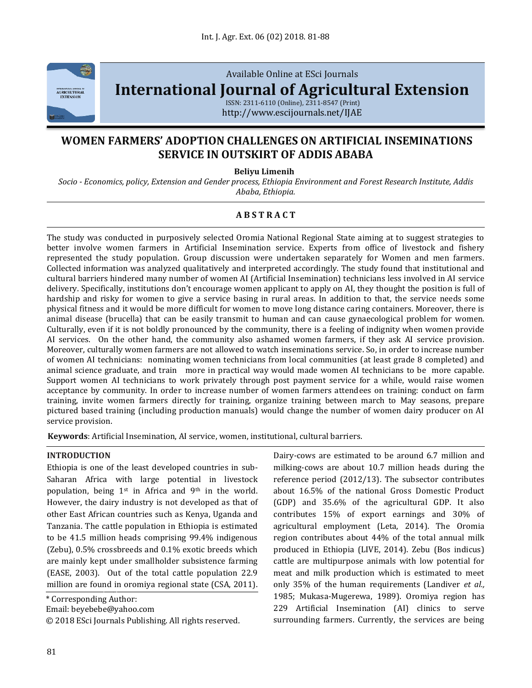

Available Online at ESci Journals

**[International Journal of Agricultural Extension](http://www.escijournals.net/IJER)**

ISSN: 2311-6110 (Online), 2311-8547 (Print) http://www.escijournals.net/IJAE

# **WOMEN FARMERS' ADOPTION CHALLENGES ON ARTIFICIAL INSEMINATIONS SERVICE IN OUTSKIRT OF ADDIS ABABA**

**Beliyu Limenih**

*Socio - Economics, policy, Extension and Gender process, Ethiopia Environment and Forest Research Institute, Addis Ababa, Ethiopia.*

## **A B S T R A C T**

The study was conducted in purposively selected Oromia National Regional State aiming at to suggest strategies to better involve women farmers in Artificial Insemination service. Experts from office of livestock and fishery represented the study population. Group discussion were undertaken separately for Women and men farmers. Collected information was analyzed qualitatively and interpreted accordingly. The study found that institutional and cultural barriers hindered many number of women AI (Artificial Insemination) technicians less involved in AI service delivery. Specifically, institutions don't encourage women applicant to apply on AI, they thought the position is full of hardship and risky for women to give a service basing in rural areas. In addition to that, the service needs some physical fitness and it would be more difficult for women to move long distance caring containers. Moreover, there is animal disease (brucella) that can be easily transmit to human and can cause gynaecological problem for women. Culturally, even if it is not boldly pronounced by the community, there is a feeling of indignity when women provide AI services. On the other hand, the community also ashamed women farmers, if they ask AI service provision. Moreover, culturally women farmers are not allowed to watch inseminations service. So, in order to increase number of women AI technicians: nominating women technicians from local communities (at least grade 8 completed) and animal science graduate, and train more in practical way would made women AI technicians to be more capable. Support women AI technicians to work privately through post payment service for a while, would raise women acceptance by community. In order to increase number of women farmers attendees on training: conduct on farm training, invite women farmers directly for training, organize training between march to May seasons, prepare pictured based training (including production manuals) would change the number of women dairy producer on AI service provision.

**Keywords**: Artificial Insemination, AI service, women, institutional, cultural barriers.

#### **INTRODUCTION**

Ethiopia is one of the least developed countries in sub-Saharan Africa with large potential in livestock population, being  $1^{st}$  in Africa and 9<sup>th</sup> in the world. However, the dairy industry is not developed as that of other East African countries such as Kenya, Uganda and Tanzania. The cattle population in Ethiopia is estimated to be 41.5 million heads comprising 99.4% indigenous (Zebu), 0.5% crossbreeds and 0.1% exotic breeds which are mainly kept under smallholder subsistence farming (EASE, 2003). Out of the total cattle population 22.9 million are found in oromiya regional state (CSA, 2011).

\* Corresponding Author:

Email: beyebebe@yahoo.com

© 2018 ESci Journals Publishing. All rights reserved.

Dairy-cows are estimated to be around 6.7 million and milking-cows are about 10.7 million heads during the reference period (2012/13). The subsector contributes about 16.5% of the national Gross Domestic Product (GDP) and 35.6% of the agricultural GDP. It also contributes 15% of export earnings and 30% of agricultural employment (Leta, 2014). The Oromia region contributes about 44% of the total annual milk produced in Ethiopia (LIVE, 2014). Zebu (Bos indicus) cattle are multipurpose animals with low potential for meat and milk production which is estimated to meet only 35% of the human requirements (Landiver *et al.,* 1985; Mukasa-Mugerewa, 1989). Oromiya region has 229 Artificial Insemination (AI) clinics to serve surrounding farmers. Currently, the services are being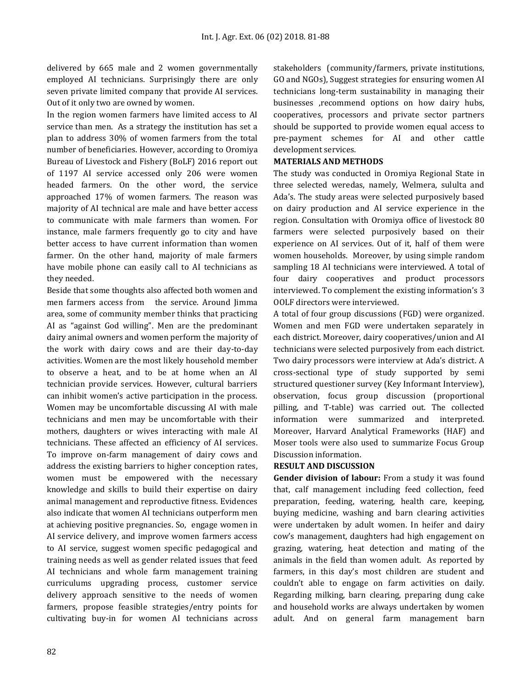delivered by 665 male and 2 women governmentally employed AI technicians. Surprisingly there are only seven private limited company that provide AI services. Out of it only two are owned by women.

In the region women farmers have limited access to AI service than men. As a strategy the institution has set a plan to address 30% of women farmers from the total number of beneficiaries. However, according to Oromiya Bureau of Livestock and Fishery (BoLF) 2016 report out of 1197 AI service accessed only 206 were women headed farmers. On the other word, the service approached 17% of women farmers. The reason was majority of AI technical are male and have better access to communicate with male farmers than women. For instance, male farmers frequently go to city and have better access to have current information than women farmer. On the other hand, majority of male farmers have mobile phone can easily call to AI technicians as they needed.

Beside that some thoughts also affected both women and men farmers access from the service. Around Jimma area, some of community member thinks that practicing AI as "against God willing". Men are the predominant dairy animal owners and women perform the majority of the work with dairy cows and are their day-to-day activities. Women are the most likely household member to observe a heat, and to be at home when an AI technician provide services. However, cultural barriers can inhibit women's active participation in the process. Women may be uncomfortable discussing AI with male technicians and men may be uncomfortable with their mothers, daughters or wives interacting with male AI technicians. These affected an efficiency of AI services. To improve on-farm management of dairy cows and address the existing barriers to higher conception rates, women must be empowered with the necessary knowledge and skills to build their expertise on dairy animal management and reproductive fitness. Evidences also indicate that women AI technicians outperform men at achieving positive pregnancies. So, engage women in AI service delivery, and improve women farmers access to AI service, suggest women specific pedagogical and training needs as well as gender related issues that feed AI technicians and whole farm management training curriculums upgrading process, customer service delivery approach sensitive to the needs of women farmers, propose feasible strategies/entry points for cultivating buy-in for women AI technicians across stakeholders (community/farmers, private institutions, GO and NGOs), Suggest strategies for ensuring women AI technicians long-term sustainability in managing their businesses ,recommend options on how dairy hubs, cooperatives, processors and private sector partners should be supported to provide women equal access to pre-payment schemes for AI and other cattle development services.

#### **MATERIALS AND METHODS**

The study was conducted in Oromiya Regional State in three selected weredas, namely, Welmera, sululta and Ada's. The study areas were selected purposively based on dairy production and AI service experience in the region. Consultation with Oromiya office of livestock 80 farmers were selected purposively based on their experience on AI services. Out of it, half of them were women households. Moreover, by using simple random sampling 18 AI technicians were interviewed. A total of four dairy cooperatives and product processors interviewed. To complement the existing information's 3 OOLF directors were interviewed.

A total of four group discussions (FGD) were organized. Women and men FGD were undertaken separately in each district. Moreover, dairy cooperatives/union and AI technicians were selected purposively from each district. Two dairy processors were interview at Ada's district. A cross-sectional type of study supported by semi structured questioner survey (Key Informant Interview), observation, focus group discussion (proportional pilling, and T-table) was carried out. The collected information were summarized and interpreted. Moreover, Harvard Analytical Frameworks (HAF) and Moser tools were also used to summarize Focus Group Discussion information.

## **RESULT AND DISCUSSION**

**Gender division of labour:** From a study it was found that, calf management including feed collection, feed preparation, feeding, watering, health care, keeping, buying medicine, washing and barn clearing activities were undertaken by adult women. In heifer and dairy cow's management, daughters had high engagement on grazing, watering, heat detection and mating of the animals in the field than women adult. As reported by farmers, in this day's most children are student and couldn't able to engage on farm activities on daily. Regarding milking, barn clearing, preparing dung cake and household works are always undertaken by women adult. And on general farm management barn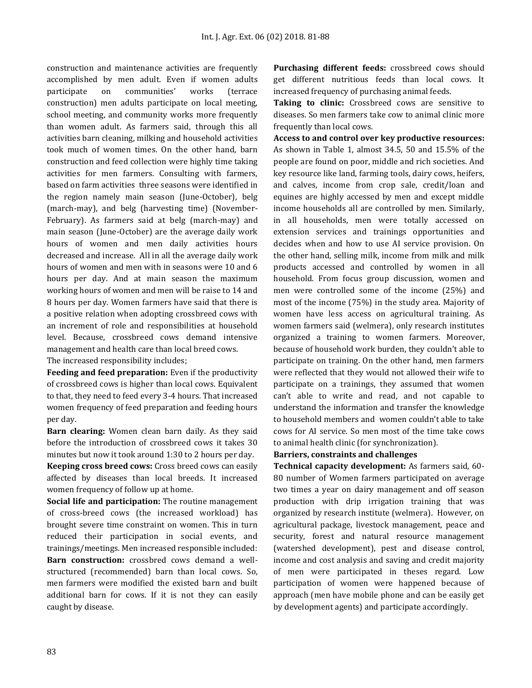construction and maintenance activities are frequently accomplished by men adult. Even if women adults participate on communities' works (terrace construction) men adults participate on local meeting, school meeting, and community works more frequently than women adult. As farmers said, through this all activities barn cleaning, milking and household activities took much of women times. On the other hand, barn construction and feed collection were highly time taking activities for men farmers. Consulting with farmers, based on farm activities three seasons were identified in the region namely main season (June-October), belg (march-may), and belg (harvesting time) (November-February). As farmers said at belg (march-may) and main season (June-October) are the average daily work hours of women and men daily activities hours decreased and increase. All in all the average daily work hours of women and men with in seasons were 10 and 6 hours per day. And at main season the maximum working hours of women and men will be raise to 14 and 8 hours per day. Women farmers have said that there is a positive relation when adopting crossbreed cows with an increment of role and responsibilities at household level. Because, crossbreed cows demand intensive management and health care than local breed cows.

The increased responsibility includes;

**Feeding and feed preparation:** Even if the productivity of crossbreed cows is higher than local cows. Equivalent to that, they need to feed every 3-4 hours. That increased women frequency of feed preparation and feeding hours per day.

**Barn clearing:** Women clean barn daily. As they said before the introduction of crossbreed cows it takes 30 minutes but now it took around 1:30 to 2 hours per day.

**Keeping cross breed cows:** Cross breed cows can easily affected by diseases than local breeds. It increased women frequency of follow up at home.

**Social life and participation:** The routine management of cross-breed cows (the increased workload) has brought severe time constraint on women. This in turn reduced their participation in social events, and trainings/meetings. Men increased responsible included: **Barn construction:** crossbred cows demand a wellstructured (recommended) barn than local cows. So, men farmers were modified the existed barn and built additional barn for cows. If it is not they can easily caught by disease.

**Purchasing different feeds:** crossbreed cows should get different nutritious feeds than local cows. It increased frequency of purchasing animal feeds.

**Taking to clinic:** Crossbreed cows are sensitive to diseases. So men farmers take cow to animal clinic more frequently than local cows.

**Access to and control over key productive resources:** As shown in Table 1, almost 34.5, 50 and 15.5% of the people are found on poor, middle and rich societies. And key resource like land, farming tools, dairy cows, heifers, and calves, income from crop sale, credit/loan and equines are highly accessed by men and except middle income households all are controlled by men. Similarly, in all households, men were totally accessed on extension services and trainings opportunities and decides when and how to use AI service provision. On the other hand, selling milk, income from milk and milk products accessed and controlled by women in all household. From focus group discussion, women and men were controlled some of the income (25%) and most of the income (75%) in the study area. Majority of women have less access on agricultural training. As women farmers said (welmera), only research institutes organized a training to women farmers. Moreover, because of household work burden, they couldn't able to participate on training. On the other hand, men farmers were reflected that they would not allowed their wife to participate on a trainings, they assumed that women can't able to write and read, and not capable to understand the information and transfer the knowledge to household members and women couldn't able to take cows for AI service. So men most of the time take cows to animal health clinic (for synchronization).

## **Barriers, constraints and challenges**

**Technical capacity development:** As farmers said, 60- 80 number of Women farmers participated on average two times a year on dairy management and off season production with drip irrigation training that was organized by research institute (welmera). However, on agricultural package, livestock management, peace and security, forest and natural resource management (watershed development), pest and disease control, income and cost analysis and saving and credit majority of men were participated in theses regard. Low participation of women were happened because of approach (men have mobile phone and can be easily get by development agents) and participate accordingly.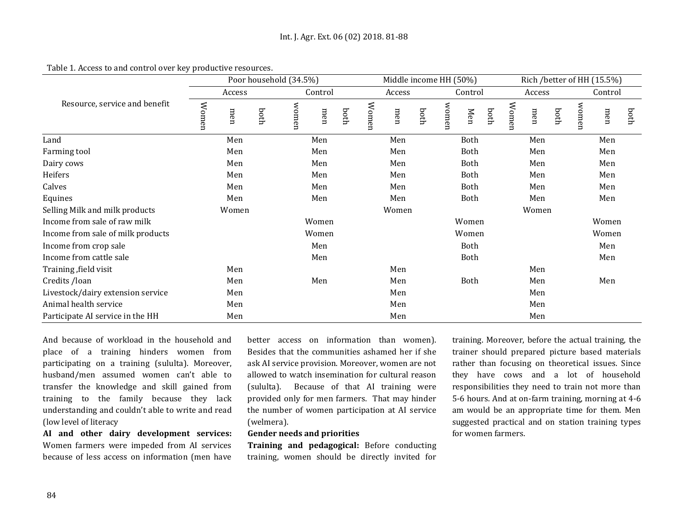|                                   | Poor household (34.5%) |     |      |         |       |       |        | Middle income HH (50%) |      |             |             |      |        | Rich /better of HH (15.5%) |       |         |     |      |  |
|-----------------------------------|------------------------|-----|------|---------|-------|-------|--------|------------------------|------|-------------|-------------|------|--------|----------------------------|-------|---------|-----|------|--|
| Resource, service and benefit     | Access                 |     |      | Control |       |       | Access |                        |      | Control     |             |      | Access |                            |       | Control |     |      |  |
|                                   | Women                  | men | hoth | women   | men   | both  | Women  | men                    | both | women       | Men         | both | Women  | men                        | poth  | women   | men | hoth |  |
| Land                              | Men                    |     |      | Men     |       |       | Men    |                        |      | <b>Both</b> |             |      | Men    |                            |       | Men     |     |      |  |
| Farming tool                      | Men                    |     |      | Men     |       |       | Men    |                        |      |             | Both        |      |        | Men                        |       |         | Men |      |  |
| Dairy cows                        | Men                    |     |      | Men     |       |       | Men    |                        |      | Both        |             |      | Men    |                            |       | Men     |     |      |  |
| Heifers                           | Men                    |     |      | Men     |       |       | Men    |                        |      | Both        |             |      | Men    |                            |       | Men     |     |      |  |
| Calves                            | Men                    |     |      | Men     |       |       | Men    |                        |      | Both        |             |      | Men    |                            |       | Men     |     |      |  |
| Equines                           | Men                    |     |      | Men     |       |       | Men    |                        |      | Both        |             |      | Men    |                            |       | Men     |     |      |  |
| Selling Milk and milk products    | Women                  |     |      |         |       |       |        | Women                  |      |             |             |      |        | Women                      |       |         |     |      |  |
| Income from sale of raw milk      | Women                  |     |      |         | Women |       |        |                        |      |             |             |      | Women  |                            |       |         |     |      |  |
| Income from sale of milk products | Women                  |     |      |         |       | Women |        |                        |      |             |             |      |        |                            | Women |         |     |      |  |
| Income from crop sale             | Men                    |     |      |         |       |       |        |                        | Both |             |             |      |        |                            | Men   |         |     |      |  |
| Income from cattle sale           |                        |     |      |         | Men   |       |        |                        |      |             | <b>Both</b> |      |        |                            |       |         | Men |      |  |
| Training, field visit             |                        | Men |      |         |       |       |        | Men                    |      |             |             |      |        | Men                        |       |         |     |      |  |
| Credits /loan                     |                        | Men |      |         | Men   |       |        | Men                    |      | Both        |             | Men  |        |                            | Men   |         |     |      |  |
| Livestock/dairy extension service |                        | Men |      |         |       |       | Men    |                        |      |             |             |      | Men    |                            |       |         |     |      |  |
| Animal health service             |                        | Men |      |         |       |       | Men    |                        |      |             |             | Men  |        |                            |       |         |     |      |  |
| Participate AI service in the HH  |                        | Men |      |         |       |       |        | Men                    |      |             |             |      | Men    |                            |       |         |     |      |  |

Table 1. Access to and control over key productive resources.

And because of workload in the household and place of a training hinders women from participating on a training (sululta). Moreover, husband/men assumed women can't able to transfer the knowledge and skill gained from training to the family because they lack understanding and couldn't able to write and read (low level of literacy

**AI and other dairy development services:** Women farmers were impeded from AI services because of less access on information (men have

better access on information than women). Besides that the communities ashamed her if she ask AI service provision. Moreover, women are not allowed to watch insemination for cultural reason (sululta). Because of that AI training were provided only for men farmers. That may hinder the number of women participation at AI service (welmera).

## **Gender needs and priorities**

**Training and pedagogical:** Before conducting training, women should be directly invited for training. Moreover, before the actual training, the trainer should prepared picture based materials rather than focusing on theoretical issues. Since they have cows and a lot of household responsibilities they need to train not more than 5-6 hours. And at on-farm training, morning at 4-6 am would be an appropriate time for them. Men suggested practical and on station training types for women farmers.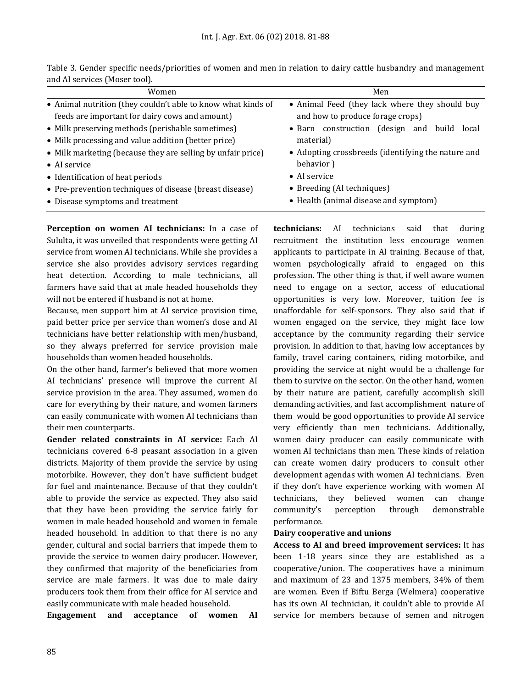| Women                                                        | Men                                                |  |  |  |  |  |  |  |  |
|--------------------------------------------------------------|----------------------------------------------------|--|--|--|--|--|--|--|--|
| • Animal nutrition (they couldn't able to know what kinds of | • Animal Feed (they lack where they should buy     |  |  |  |  |  |  |  |  |
| feeds are important for dairy cows and amount)               | and how to produce forage crops)                   |  |  |  |  |  |  |  |  |
| • Milk preserving methods (perishable sometimes)             | (design and build<br>• Barn construction<br>local  |  |  |  |  |  |  |  |  |
| • Milk processing and value addition (better price)          | material)                                          |  |  |  |  |  |  |  |  |
| • Milk marketing (because they are selling by unfair price)  | • Adopting crossbreeds (identifying the nature and |  |  |  |  |  |  |  |  |
| $\bullet$ AI service                                         | behavior)                                          |  |  |  |  |  |  |  |  |
| • Identification of heat periods                             | • AI service                                       |  |  |  |  |  |  |  |  |
| • Pre-prevention techniques of disease (breast disease)      | • Breeding (AI techniques)                         |  |  |  |  |  |  |  |  |
| • Disease symptoms and treatment                             | • Health (animal disease and symptom)              |  |  |  |  |  |  |  |  |

Table 3. Gender specific needs/priorities of women and men in relation to dairy cattle husbandry and management and AI services (Moser tool).

**Perception on women AI technicians:** In a case of Sululta, it was unveiled that respondents were getting AI service from women AI technicians. While she provides a service she also provides advisory services regarding heat detection. According to male technicians, all farmers have said that at male headed households they will not be entered if husband is not at home.

Because, men support him at AI service provision time, paid better price per service than women's dose and AI technicians have better relationship with men/husband, so they always preferred for service provision male households than women headed households.

On the other hand, farmer's believed that more women AI technicians' presence will improve the current AI service provision in the area. They assumed, women do care for everything by their nature, and women farmers can easily communicate with women AI technicians than their men counterparts.

**Gender related constraints in AI service:** Each AI technicians covered 6-8 peasant association in a given districts. Majority of them provide the service by using motorbike. However, they don't have sufficient budget for fuel and maintenance. Because of that they couldn't able to provide the service as expected. They also said that they have been providing the service fairly for women in male headed household and women in female headed household. In addition to that there is no any gender, cultural and social barriers that impede them to provide the service to women dairy producer. However, they confirmed that majority of the beneficiaries from service are male farmers. It was due to male dairy producers took them from their office for AI service and easily communicate with male headed household.

**Engagement and acceptance of women AI** 

**technicians:** AI technicians said that during recruitment the institution less encourage women applicants to participate in AI training. Because of that, women psychologically afraid to engaged on this profession. The other thing is that, if well aware women need to engage on a sector, access of educational opportunities is very low. Moreover, tuition fee is unaffordable for self-sponsors. They also said that if women engaged on the service, they might face low acceptance by the community regarding their service provision. In addition to that, having low acceptances by family, travel caring containers, riding motorbike, and providing the service at night would be a challenge for them to survive on the sector. On the other hand, women by their nature are patient, carefully accomplish skill demanding activities, and fast accomplishment nature of them would be good opportunities to provide AI service very efficiently than men technicians. Additionally, women dairy producer can easily communicate with women AI technicians than men. These kinds of relation can create women dairy producers to consult other development agendas with women AI technicians. Even if they don't have experience working with women AI technicians, they believed women can change community's perception through demonstrable performance.

#### **Dairy cooperative and unions**

**Access to AI and breed improvement services:** It has been 1-18 years since they are established as a cooperative/union. The cooperatives have a minimum and maximum of 23 and 1375 members, 34% of them are women. Even if Biftu Berga (Welmera) cooperative has its own AI technician, it couldn't able to provide AI service for members because of semen and nitrogen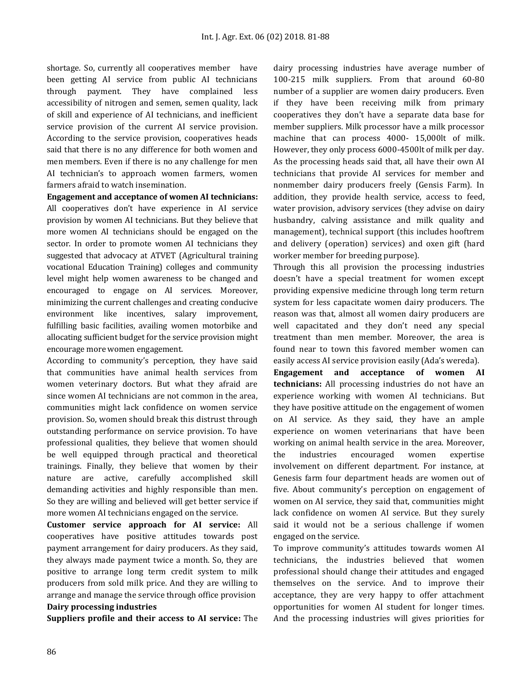shortage. So, currently all cooperatives member have been getting AI service from public AI technicians through payment. They have complained less accessibility of nitrogen and semen, semen quality, lack of skill and experience of AI technicians, and inefficient service provision of the current AI service provision. According to the service provision, cooperatives heads said that there is no any difference for both women and men members. Even if there is no any challenge for men AI technician's to approach women farmers, women farmers afraid to watch insemination.

**Engagement and acceptance of women AI technicians:** All cooperatives don't have experience in AI service provision by women AI technicians. But they believe that more women AI technicians should be engaged on the sector. In order to promote women AI technicians they suggested that advocacy at ATVET (Agricultural training vocational Education Training) colleges and community level might help women awareness to be changed and encouraged to engage on AI services. Moreover, minimizing the current challenges and creating conducive environment like incentives, salary improvement, fulfilling basic facilities, availing women motorbike and allocating sufficient budget for the service provision might encourage more women engagement.

According to community's perception, they have said that communities have animal health services from women veterinary doctors. But what they afraid are since women AI technicians are not common in the area, communities might lack confidence on women service provision. So, women should break this distrust through outstanding performance on service provision. To have professional qualities, they believe that women should be well equipped through practical and theoretical trainings. Finally, they believe that women by their nature are active, carefully accomplished skill demanding activities and highly responsible than men. So they are willing and believed will get better service if more women AI technicians engaged on the service.

**Customer service approach for AI service:** All cooperatives have positive attitudes towards post payment arrangement for dairy producers. As they said, they always made payment twice a month. So, they are positive to arrange long term credit system to milk producers from sold milk price. And they are willing to arrange and manage the service through office provision **Dairy processing industries**

**Suppliers profile and their access to AI service:** The

dairy processing industries have average number of 100-215 milk suppliers. From that around 60-80 number of a supplier are women dairy producers. Even if they have been receiving milk from primary cooperatives they don't have a separate data base for member suppliers. Milk processor have a milk processor machine that can process 4000- 15,000lt of milk. However, they only process 6000-4500lt of milk per day. As the processing heads said that, all have their own AI technicians that provide AI services for member and nonmember dairy producers freely (Gensis Farm). In addition, they provide health service, access to feed, water provision, advisory services (they advise on dairy husbandry, calving assistance and milk quality and management), technical support (this includes hooftrem and delivery (operation) services) and oxen gift (hard worker member for breeding purpose).

Through this all provision the processing industries doesn't have a special treatment for women except providing expensive medicine through long term return system for less capacitate women dairy producers. The reason was that, almost all women dairy producers are well capacitated and they don't need any special treatment than men member. Moreover, the area is found near to town this favored member women can easily access AI service provision easily (Ada's wereda).

**Engagement and acceptance of women AI technicians:** All processing industries do not have an experience working with women AI technicians. But they have positive attitude on the engagement of women on AI service. As they said, they have an ample experience on women veterinarians that have been working on animal health service in the area. Moreover, the industries encouraged women expertise involvement on different department. For instance, at Genesis farm four department heads are women out of five. About community's perception on engagement of women on AI service, they said that, communities might lack confidence on women AI service. But they surely said it would not be a serious challenge if women engaged on the service.

To improve community's attitudes towards women AI technicians, the industries believed that women professional should change their attitudes and engaged themselves on the service. And to improve their acceptance, they are very happy to offer attachment opportunities for women AI student for longer times. And the processing industries will gives priorities for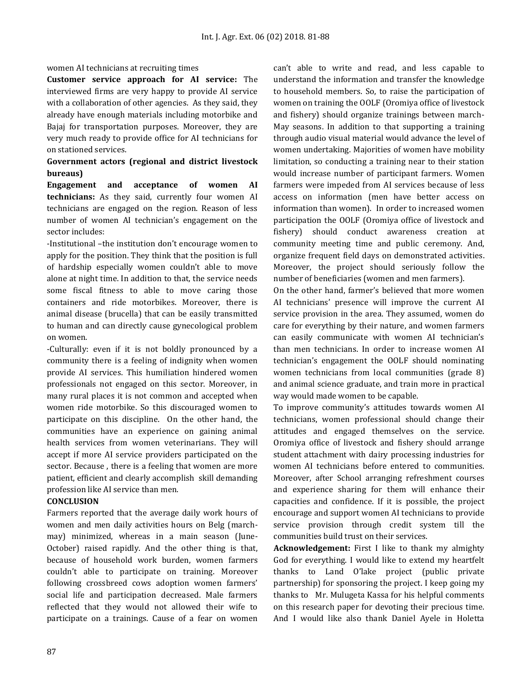#### women AI technicians at recruiting times

**Customer service approach for AI service:** The interviewed firms are very happy to provide AI service with a collaboration of other agencies. As they said, they already have enough materials including motorbike and Bajaj for transportation purposes. Moreover, they are very much ready to provide office for AI technicians for on stationed services.

## **Government actors (regional and district livestock bureaus)**

**Engagement and acceptance of women AI technicians:** As they said, currently four women AI technicians are engaged on the region. Reason of less number of women AI technician's engagement on the sector includes:

-Institutional –the institution don't encourage women to apply for the position. They think that the position is full of hardship especially women couldn't able to move alone at night time. In addition to that, the service needs some fiscal fitness to able to move caring those containers and ride motorbikes. Moreover, there is animal disease (brucella) that can be easily transmitted to human and can directly cause gynecological problem on women.

-Culturally: even if it is not boldly pronounced by a community there is a feeling of indignity when women provide AI services. This humiliation hindered women professionals not engaged on this sector. Moreover, in many rural places it is not common and accepted when women ride motorbike. So this discouraged women to participate on this discipline. On the other hand, the communities have an experience on gaining animal health services from women veterinarians. They will accept if more AI service providers participated on the sector. Because , there is a feeling that women are more patient, efficient and clearly accomplish skill demanding profession like AI service than men.

## **CONCLUSION**

Farmers reported that the average daily work hours of women and men daily activities hours on Belg (marchmay) minimized, whereas in a main season (June-October) raised rapidly. And the other thing is that, because of household work burden, women farmers couldn't able to participate on training. Moreover following crossbreed cows adoption women farmers' social life and participation decreased. Male farmers reflected that they would not allowed their wife to participate on a trainings. Cause of a fear on women can't able to write and read, and less capable to understand the information and transfer the knowledge to household members. So, to raise the participation of women on training the OOLF (Oromiya office of livestock and fishery) should organize trainings between march-May seasons. In addition to that supporting a training through audio visual material would advance the level of women undertaking. Majorities of women have mobility limitation, so conducting a training near to their station would increase number of participant farmers. Women farmers were impeded from AI services because of less access on information (men have better access on information than women). In order to increased women participation the OOLF (Oromiya office of livestock and fishery) should conduct awareness creation at community meeting time and public ceremony. And, organize frequent field days on demonstrated activities. Moreover, the project should seriously follow the number of beneficiaries (women and men farmers).

On the other hand, farmer's believed that more women AI technicians' presence will improve the current AI service provision in the area. They assumed, women do care for everything by their nature, and women farmers can easily communicate with women AI technician's than men technicians. In order to increase women AI technician's engagement the OOLF should nominating women technicians from local communities (grade 8) and animal science graduate, and train more in practical way would made women to be capable.

To improve community's attitudes towards women AI technicians, women professional should change their attitudes and engaged themselves on the service. Oromiya office of livestock and fishery should arrange student attachment with dairy processing industries for women AI technicians before entered to communities. Moreover, after School arranging refreshment courses and experience sharing for them will enhance their capacities and confidence. If it is possible, the project encourage and support women AI technicians to provide service provision through credit system till the communities build trust on their services.

**Acknowledgement:** First I like to thank my almighty God for everything. I would like to extend my heartfelt thanks to Land O'lake project (public private partnership) for sponsoring the project. I keep going my thanks to Mr. Mulugeta Kassa for his helpful comments on this research paper for devoting their precious time. And I would like also thank Daniel Ayele in Holetta